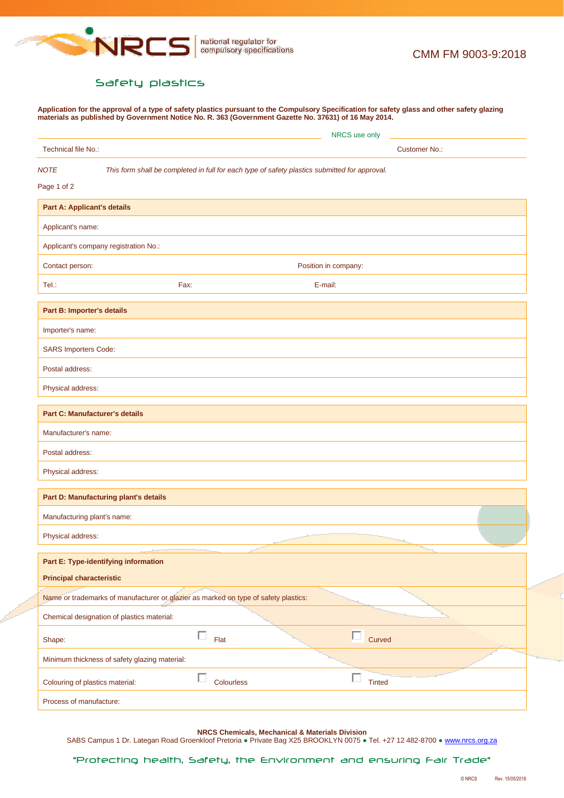

## <span id="page-0-0"></span>Safety plastics

**Application for the approval of a type of safety plastics pursuant to the Compulsory Specification for safety glass and other safety glazing materials as published by Government Notice No. R. 363 (Government Gazette No. 37631) of 16 May 2014.**

|                                                                                                              | NRCS use only                         |  |  |  |  |
|--------------------------------------------------------------------------------------------------------------|---------------------------------------|--|--|--|--|
| Technical file No.:                                                                                          | <b>Customer No.:</b>                  |  |  |  |  |
| <b>NOTE</b><br>This form shall be completed in full for each type of safety plastics submitted for approval. |                                       |  |  |  |  |
| Page 1 of 2                                                                                                  |                                       |  |  |  |  |
| <b>Part A: Applicant's details</b>                                                                           |                                       |  |  |  |  |
| Applicant's name:                                                                                            |                                       |  |  |  |  |
| Applicant's company registration No.:                                                                        |                                       |  |  |  |  |
| Contact person:                                                                                              | Position in company:                  |  |  |  |  |
| Tel.:                                                                                                        | Fax:<br>E-mail:                       |  |  |  |  |
| Part B: Importer's details                                                                                   |                                       |  |  |  |  |
| Importer's name:                                                                                             |                                       |  |  |  |  |
| <b>SARS Importers Code:</b>                                                                                  |                                       |  |  |  |  |
| Postal address:                                                                                              |                                       |  |  |  |  |
| Physical address:                                                                                            |                                       |  |  |  |  |
| <b>Part C: Manufacturer's details</b>                                                                        |                                       |  |  |  |  |
| Manufacturer's name:                                                                                         |                                       |  |  |  |  |
| Postal address:                                                                                              |                                       |  |  |  |  |
| Physical address:                                                                                            |                                       |  |  |  |  |
| Part D: Manufacturing plant's details                                                                        |                                       |  |  |  |  |
| Manufacturing plant's name:                                                                                  |                                       |  |  |  |  |
| Physical address:                                                                                            |                                       |  |  |  |  |
| Part E: Type-identifying information                                                                         |                                       |  |  |  |  |
| <b>Principal characteristic</b>                                                                              |                                       |  |  |  |  |
| Name or trademarks of manufacturer or glazier as marked on type of safety plastics:                          |                                       |  |  |  |  |
| Chemical designation of plastics material:                                                                   |                                       |  |  |  |  |
| Shape:                                                                                                       | п<br>$\Box$<br>Curved<br>Flat         |  |  |  |  |
| Minimum thickness of safety glazing material:                                                                |                                       |  |  |  |  |
| Colouring of plastics material:                                                                              | п<br>п<br>Colourless<br><b>Tinted</b> |  |  |  |  |
| Process of manufacture:                                                                                      |                                       |  |  |  |  |

**NRCS Chemicals, Mechanical & Materials Division**

SABS Campus 1 Dr. Lategan Road Groenkloof Pretoria · Private Bag X25 BROOKLYN 0075 · Tel. +27 12 482-8700 · [www.nrcs.org.za](http://www.nrcs.org.za/)

"Protecting health, Safety, the Environment and ensuring Fair Trade"